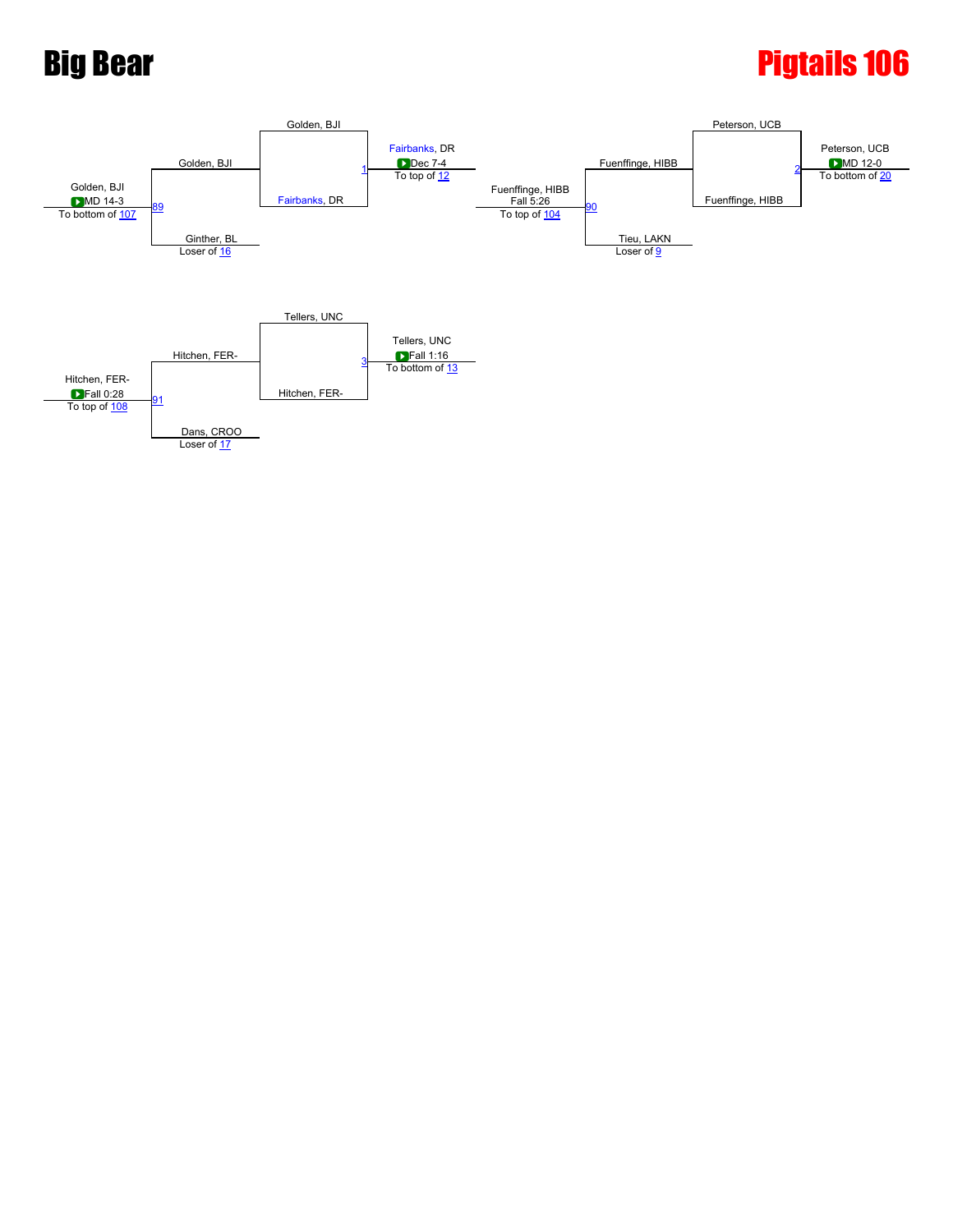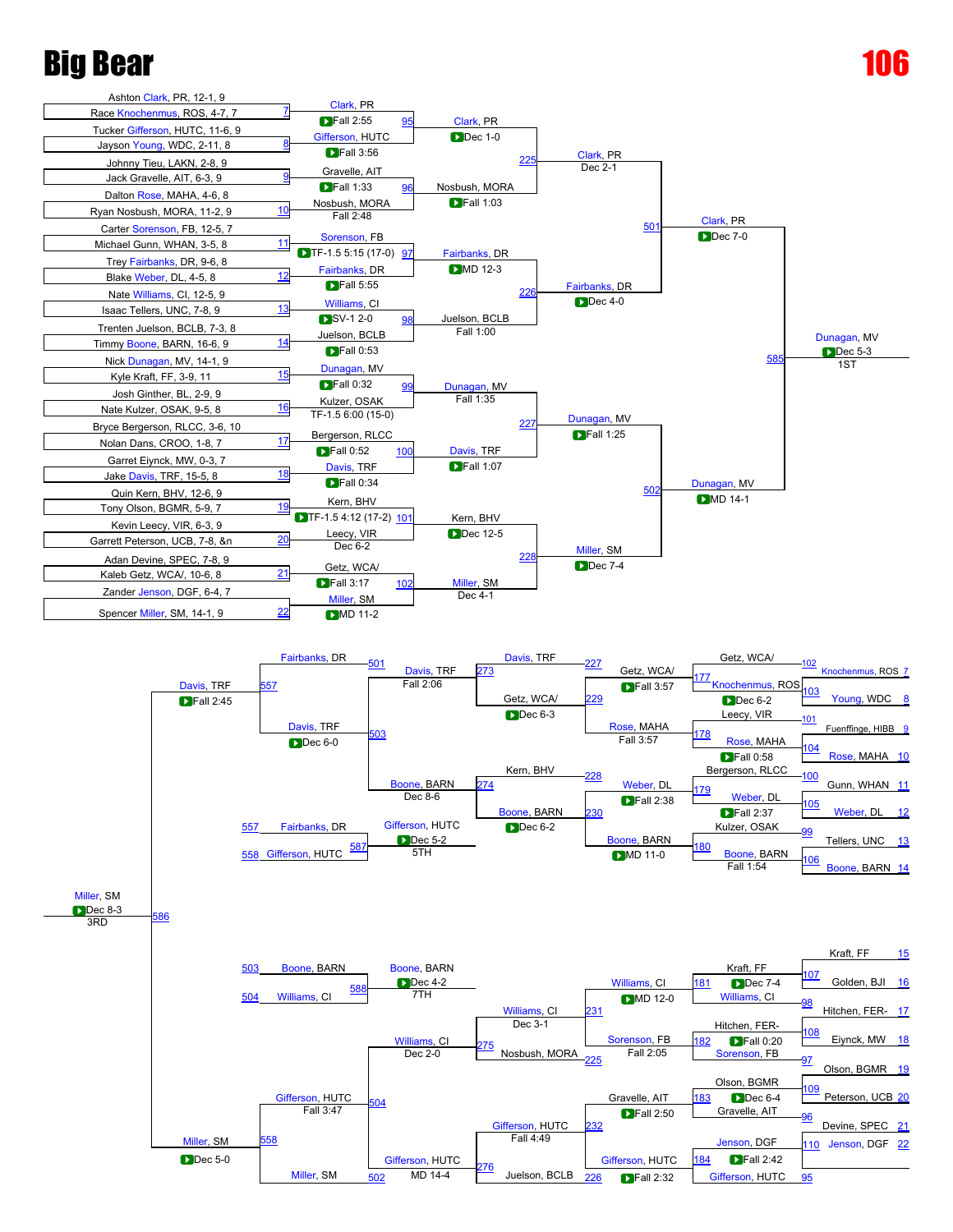



Juelson, BCLB

 $\frac{27}{502}$  $\frac{27}{502}$  $\frac{27}{502}$  MD 14-4  $\frac{270}{100}$  Juelson, BCLB  $\frac{226}{226}$  $\frac{226}{226}$  $\frac{226}{226}$  Fall 2:32 [Gifferson,](javascript:viewProfile(152948009)) HUTC  $\frac{95}{25}$  $\frac{95}{25}$  $\frac{95}{25}$ 

Fall 2:32

[Miller](javascript:viewProfile(605289009)), SM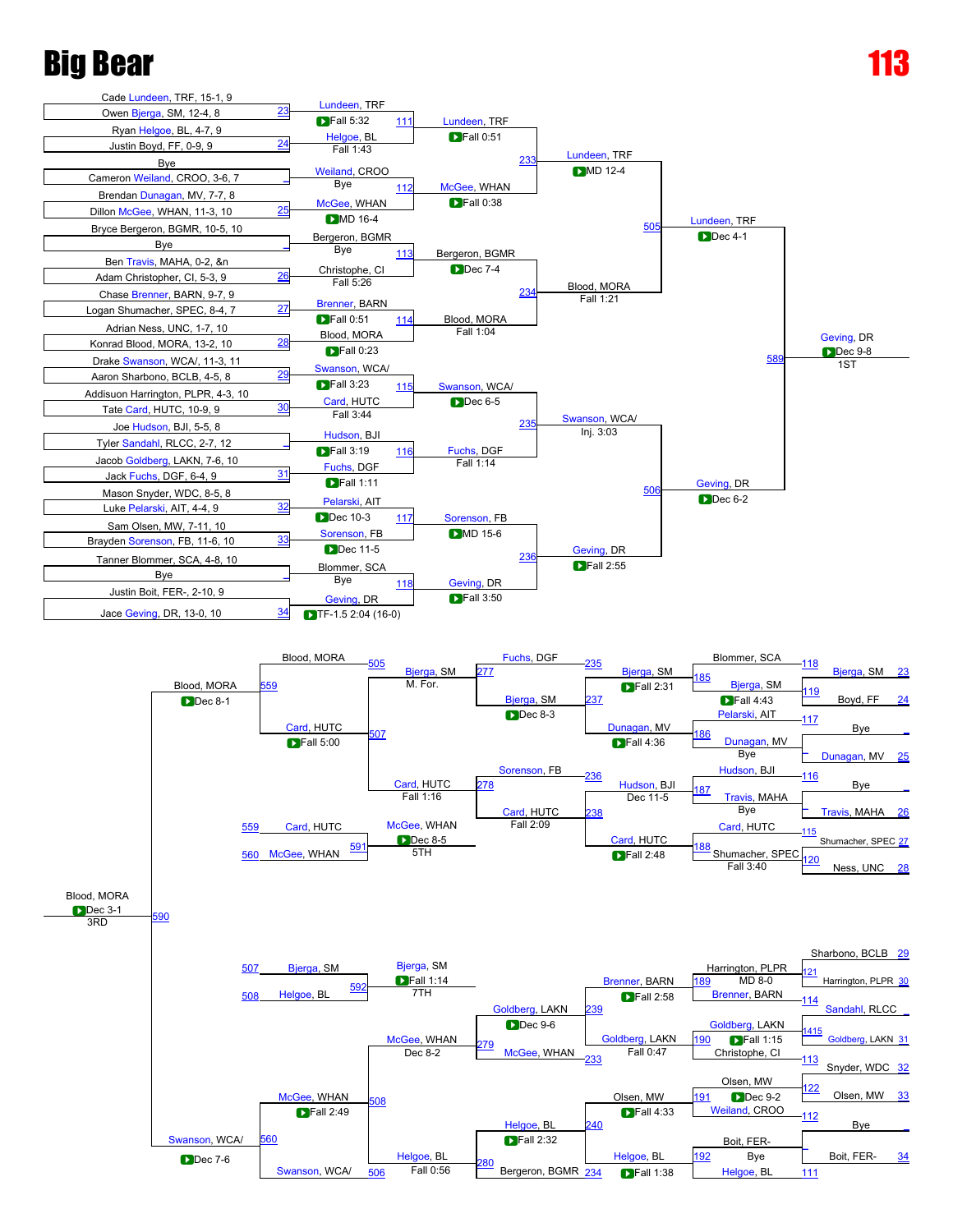

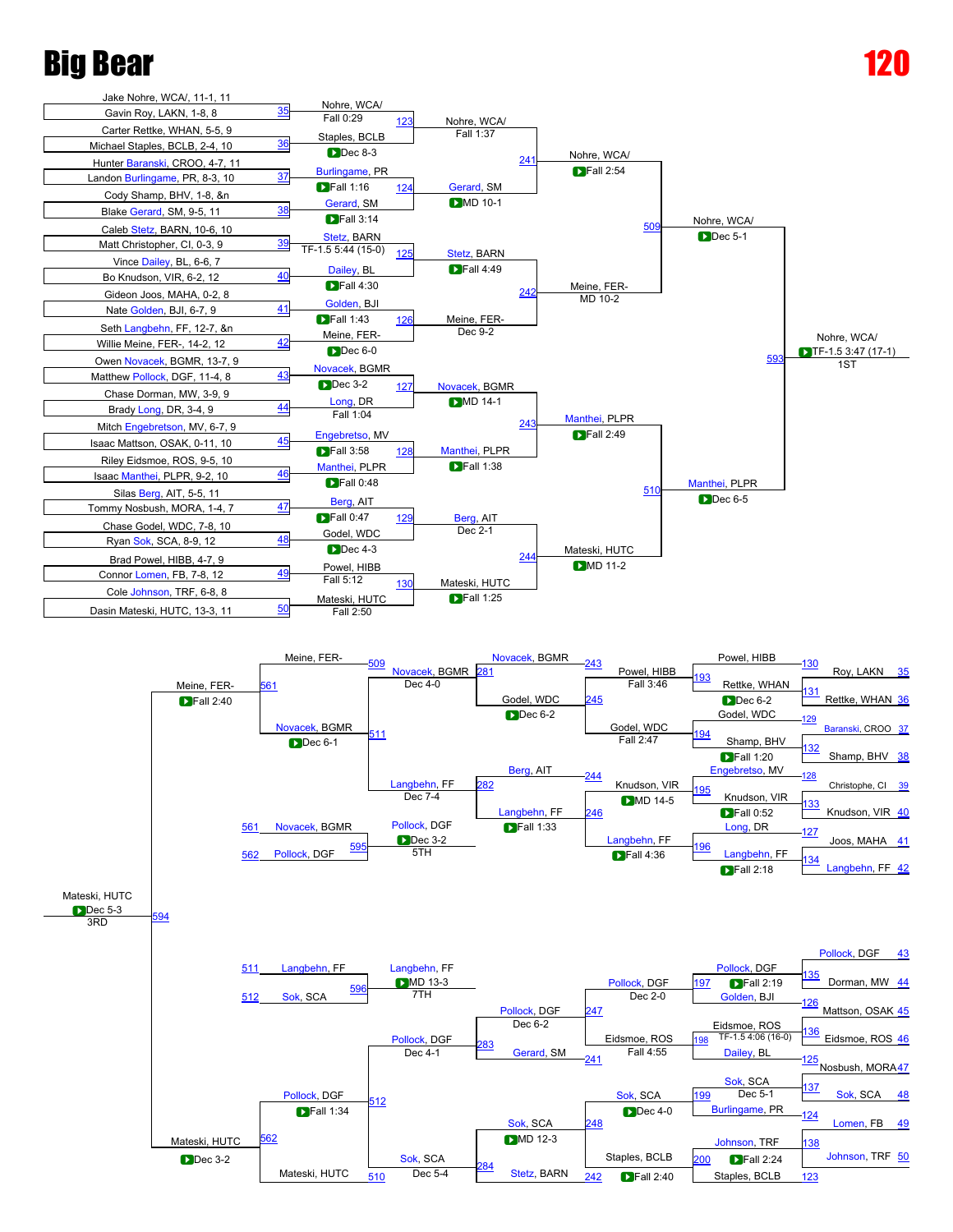

Mateski, HUTC

[562](javascript:openBoutSheet(58,)

Mateski, HUTC

[Sok,](javascript:viewProfile(2095823009)) SCA

[Johnson](javascript:viewProfile(2112949009)), TRF

 $\blacksquare$  Fall 2:24

[138](javascript:openBoutSheet(32,)

Staples, BCLB

 $\blacksquare$  Fall 2:40

 $\frac{510}{510}$  $\frac{510}{510}$  $\frac{510}{510}$  Dec 5-4 Stetz, BARN  $\frac{242}{242}$  $\frac{242}{242}$  $\frac{242}{242}$  Fall 2:40 Staples, BCLB [123](javascript:openBoutSheet(17,)

D Dec 3-2 **D** Sok, SCA **D** Sok, SCA **D** Staples, BCLB 200 **D** Fall 2:24 **[Johnson](javascript:viewProfile(2112949009))**, TRF [50](javascript:openBoutSheet(16,)

[Stetz](javascript:viewProfile(104333009)), BARN

[284](javascript:openBoutSheet(52,)

Dec 3-2 **Dec 3-2** Sok, SCA <sub>200</sub> Staples, BCLB 200 Fa

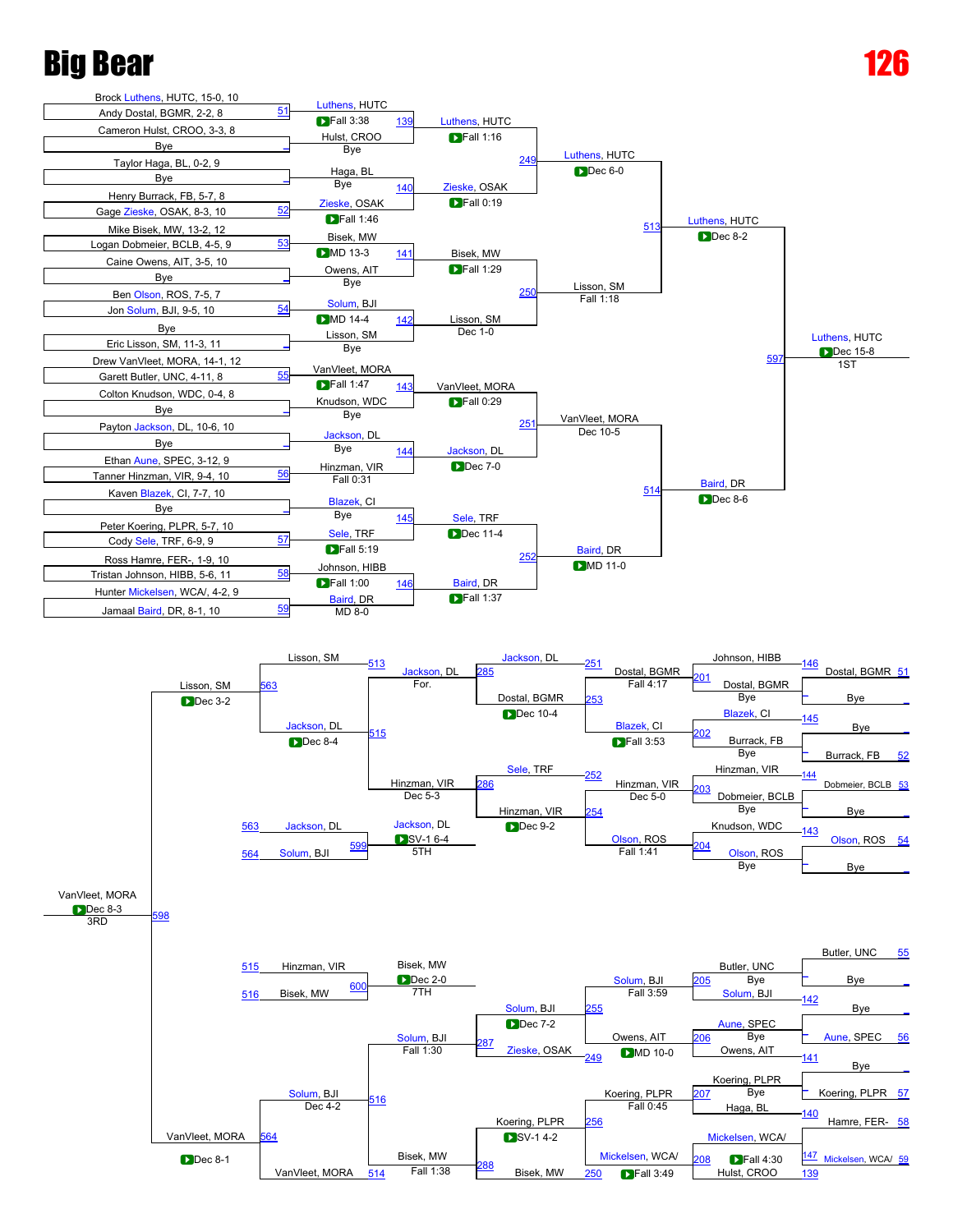

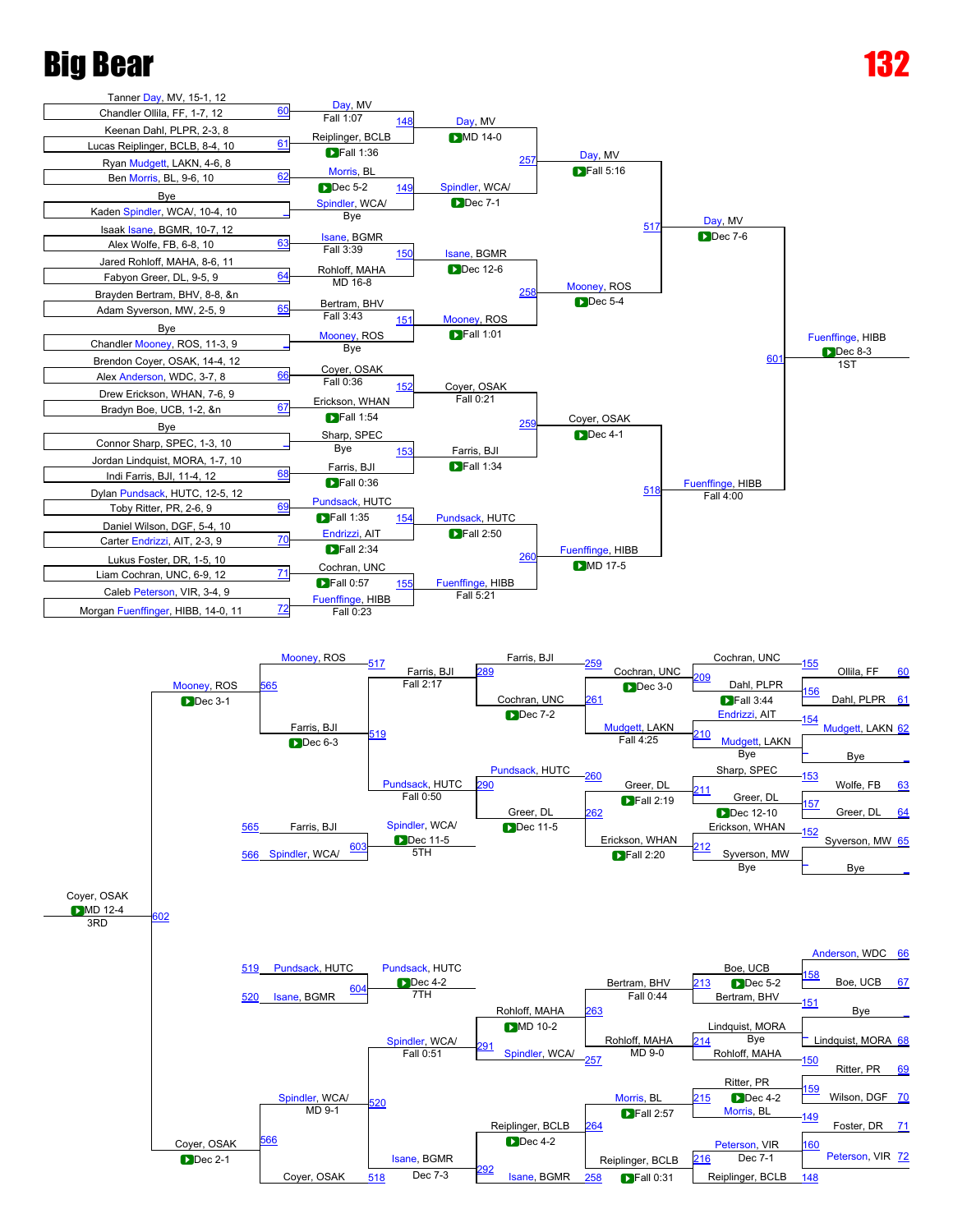



[Isane](javascript:viewProfile(2110356009)), BGMR

 $\Box$ Fall 0:31

Coyer, OSAK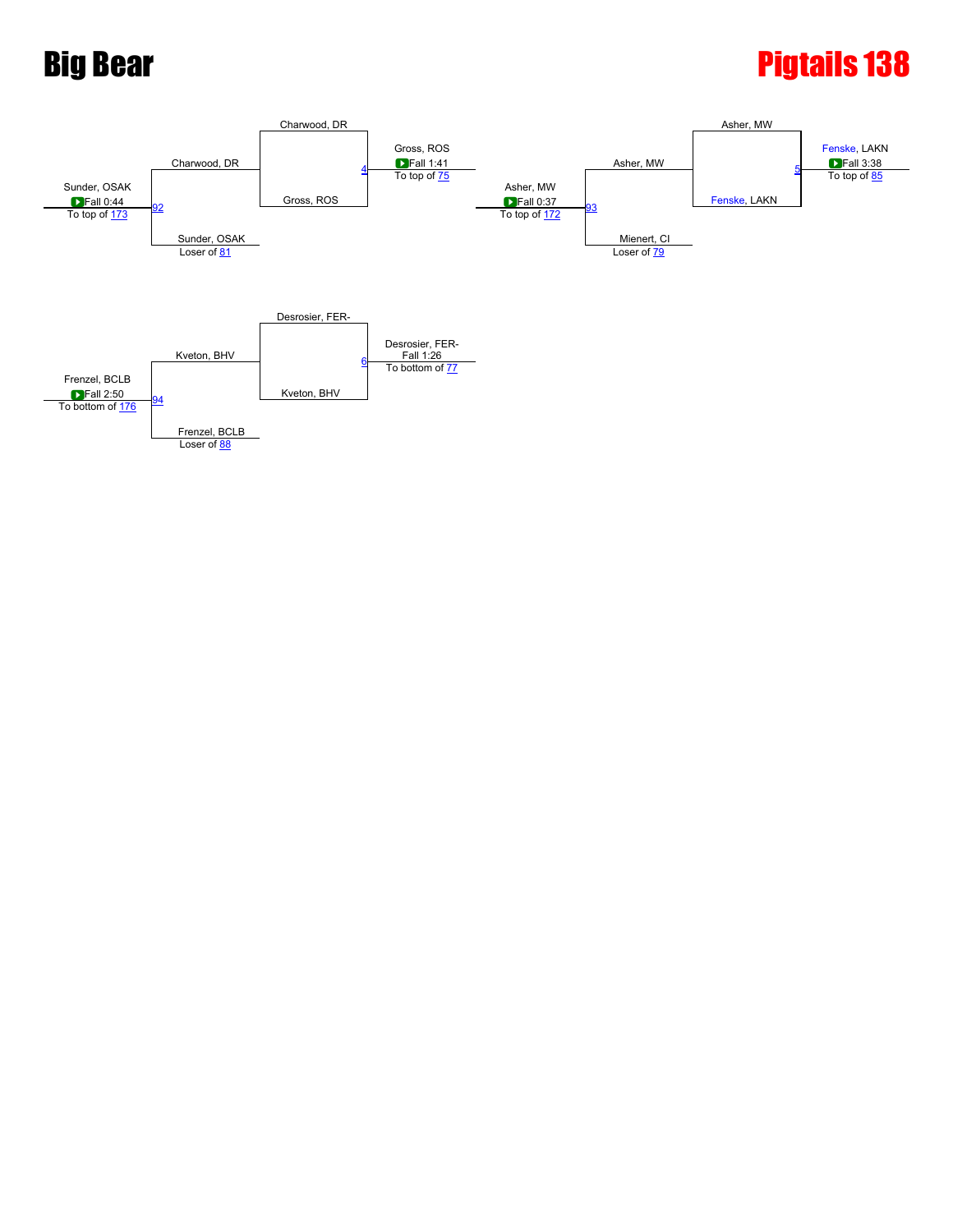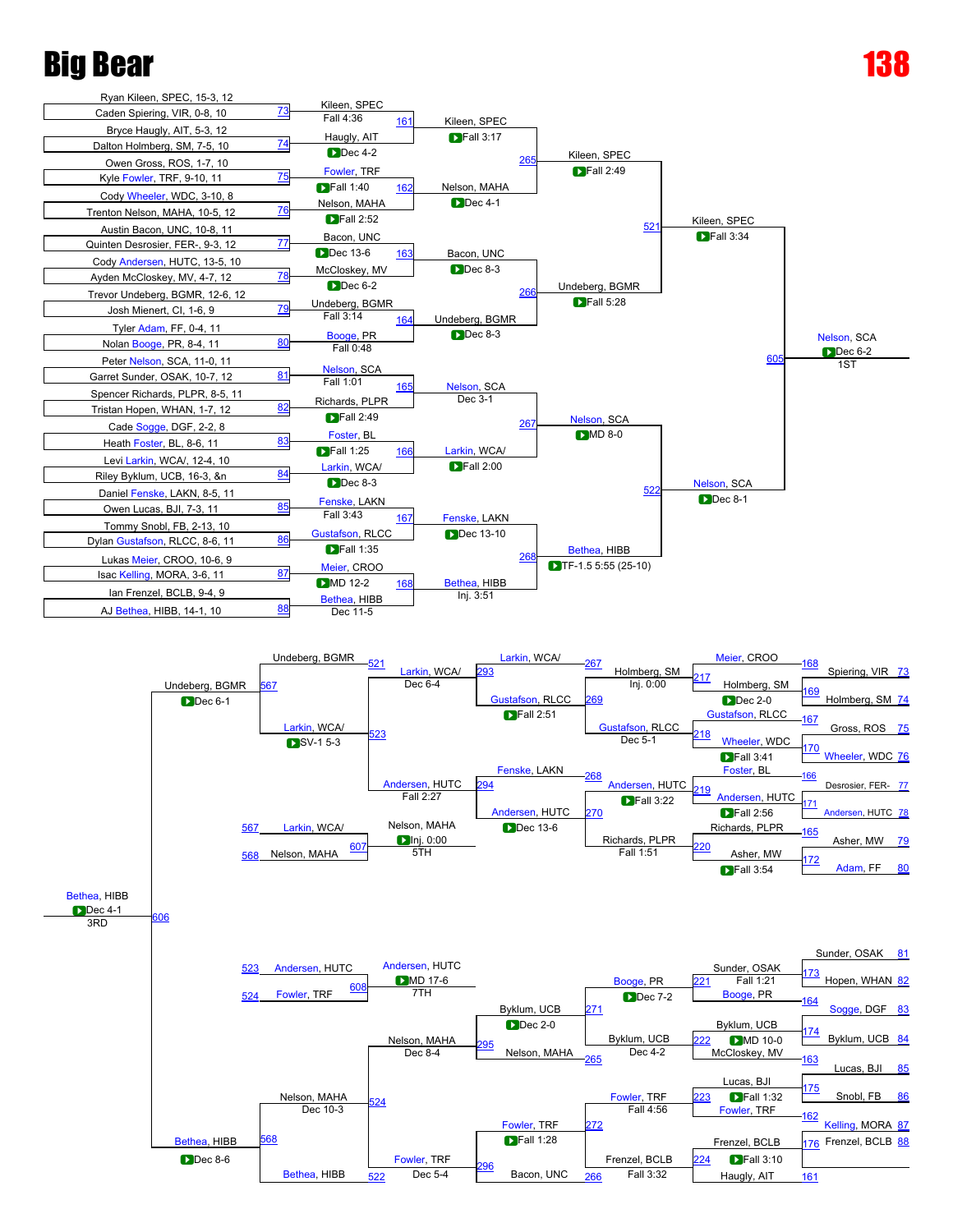### Big Bear



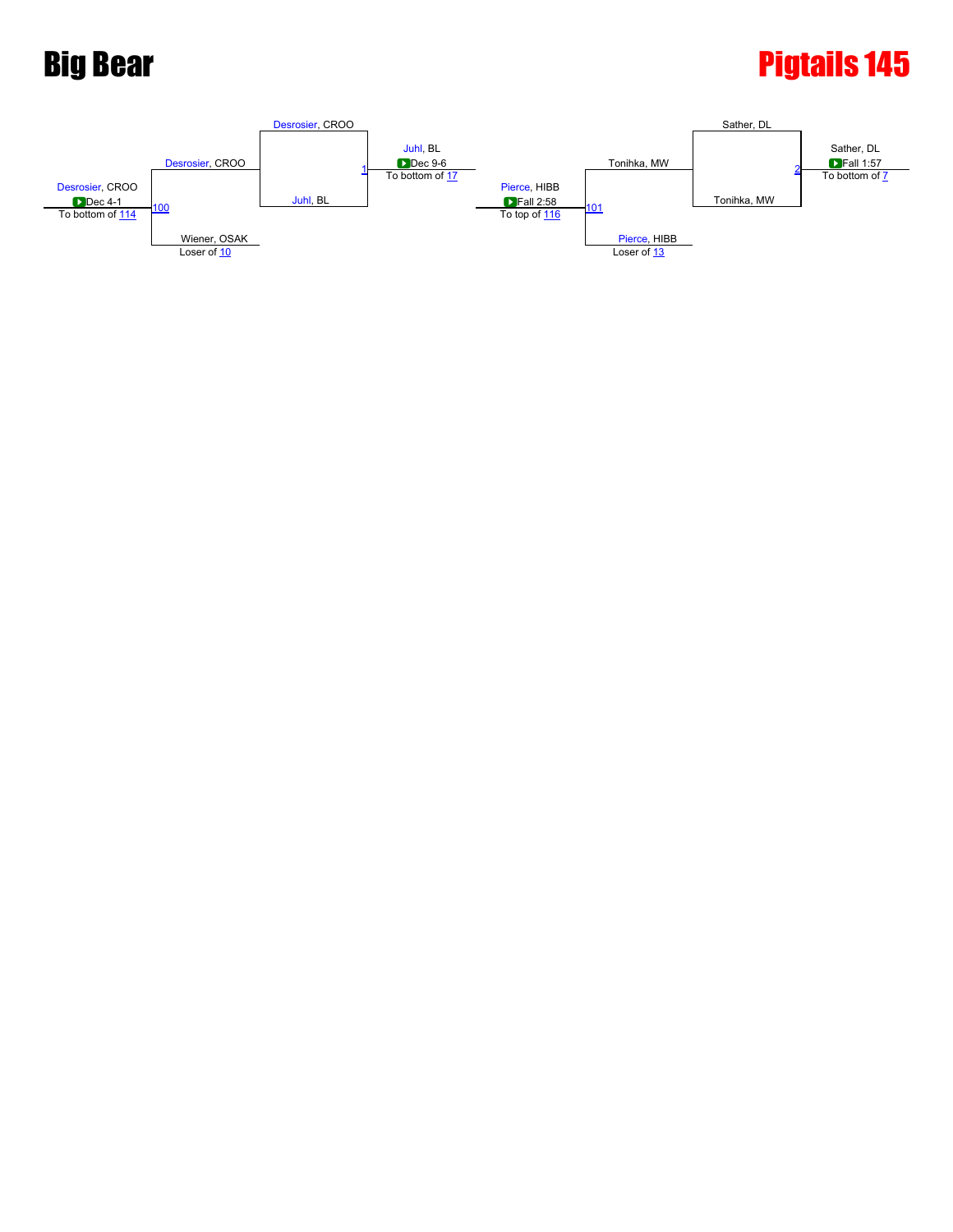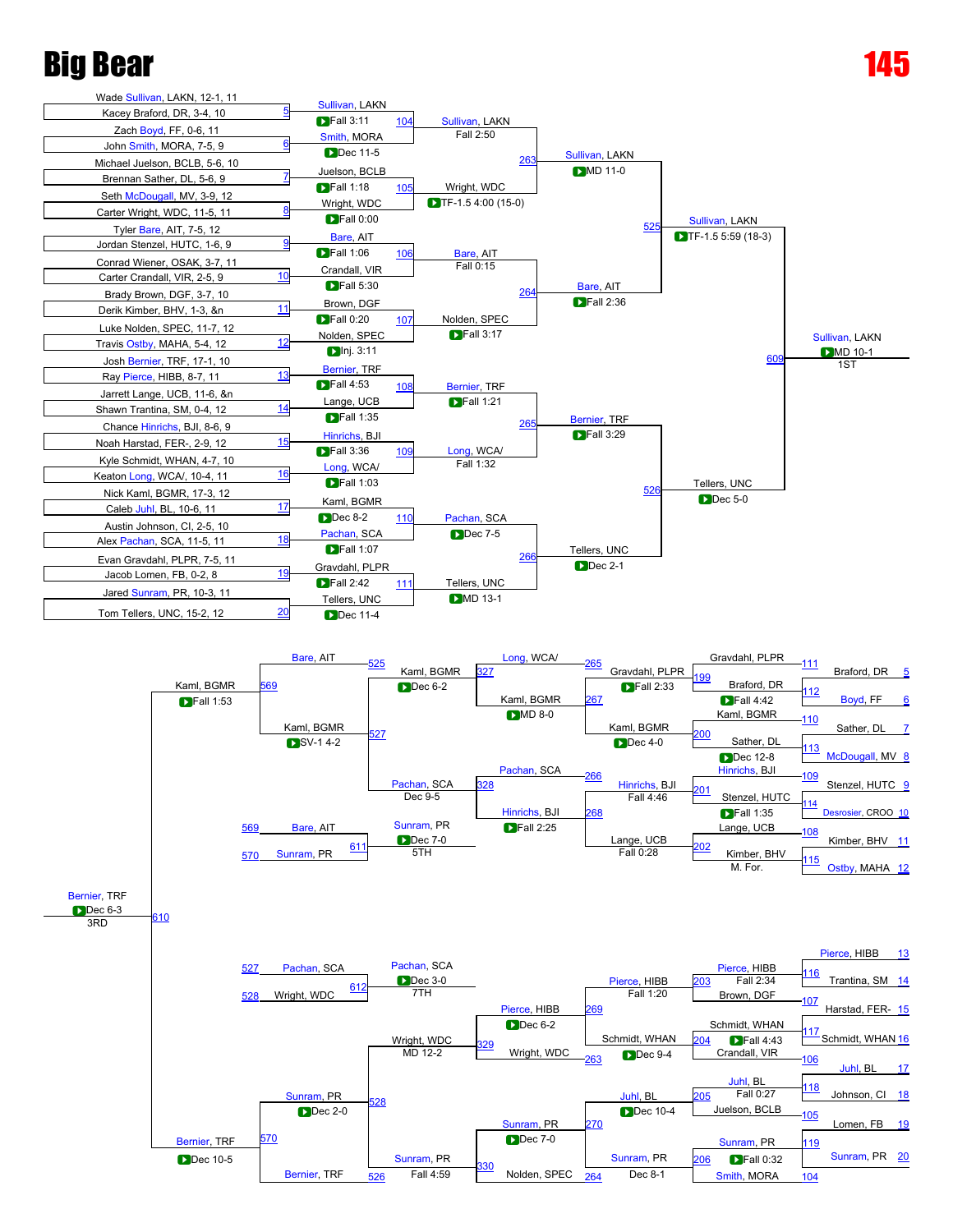## Big Bear



[330](javascript:openBoutSheet(52,)

 $\frac{526}{26}$  $\frac{526}{26}$  $\frac{526}{26}$  Fall 4:59 Nolden, SPEC  $\frac{264}{264}$  $\frac{264}{264}$  $\frac{264}{264}$  Dec 8-1 [Smith](javascript:viewProfile(186509096)), MORA [104](javascript:openBoutSheet(17,)

[Bernier](javascript:viewProfile(480153096)), TRF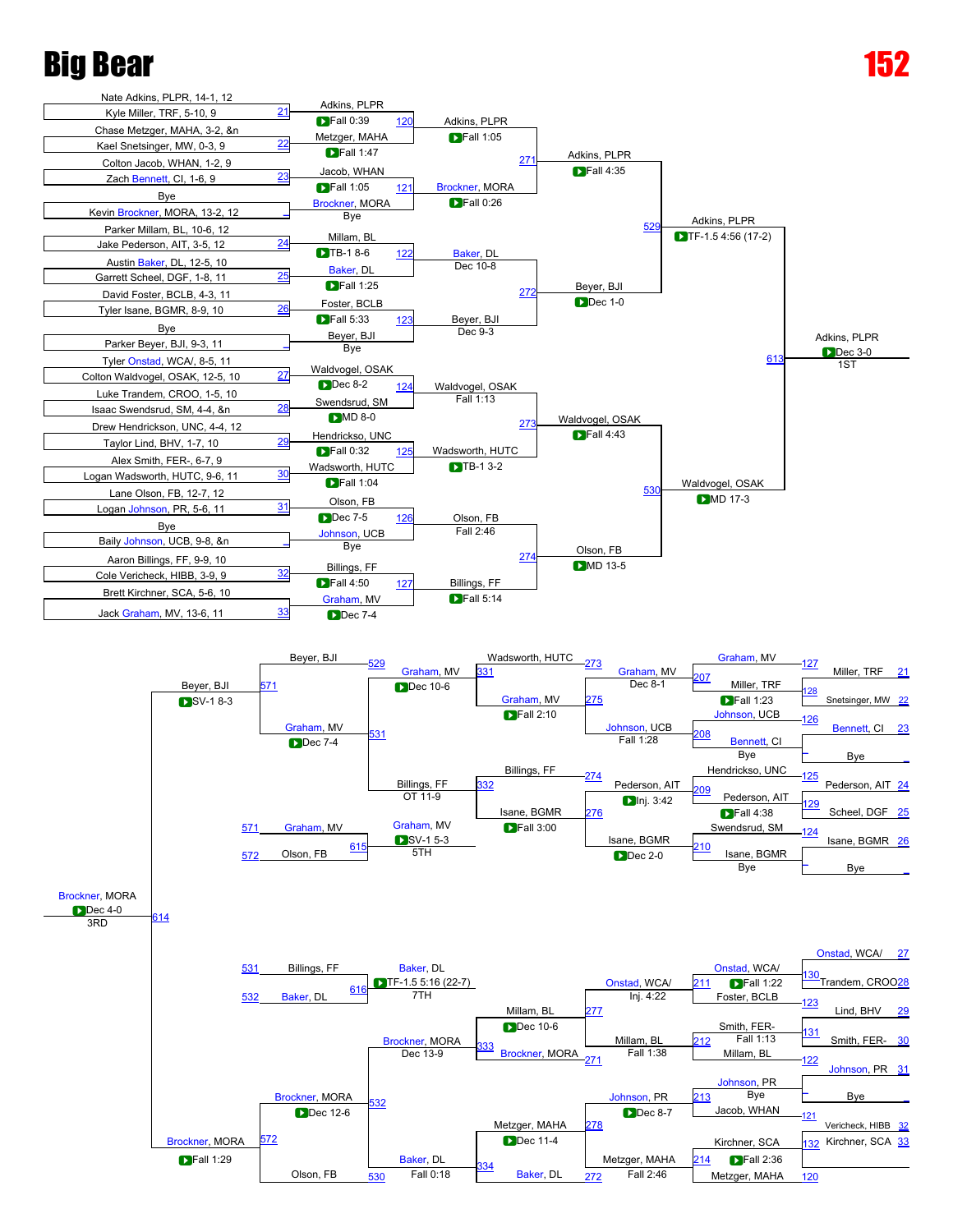



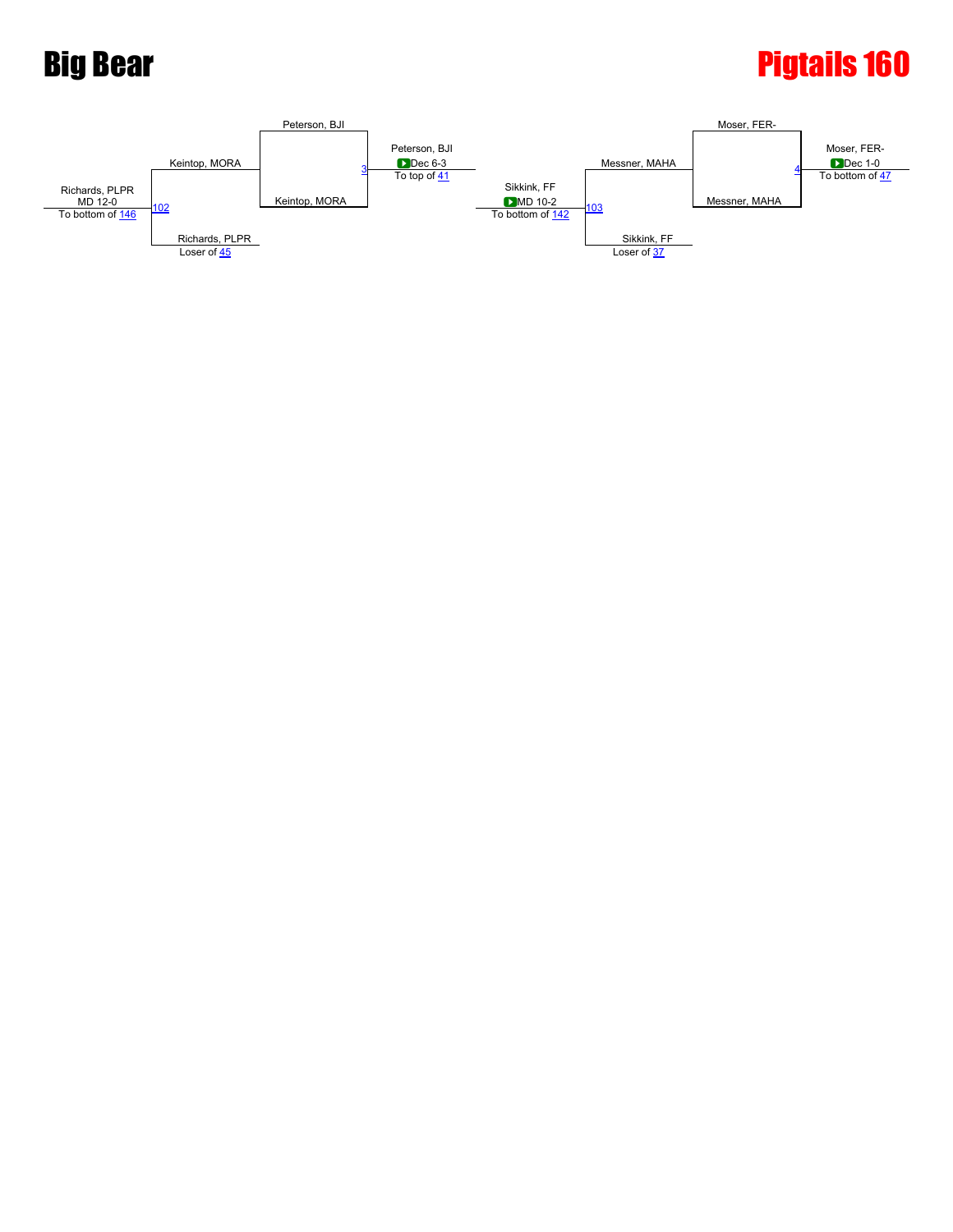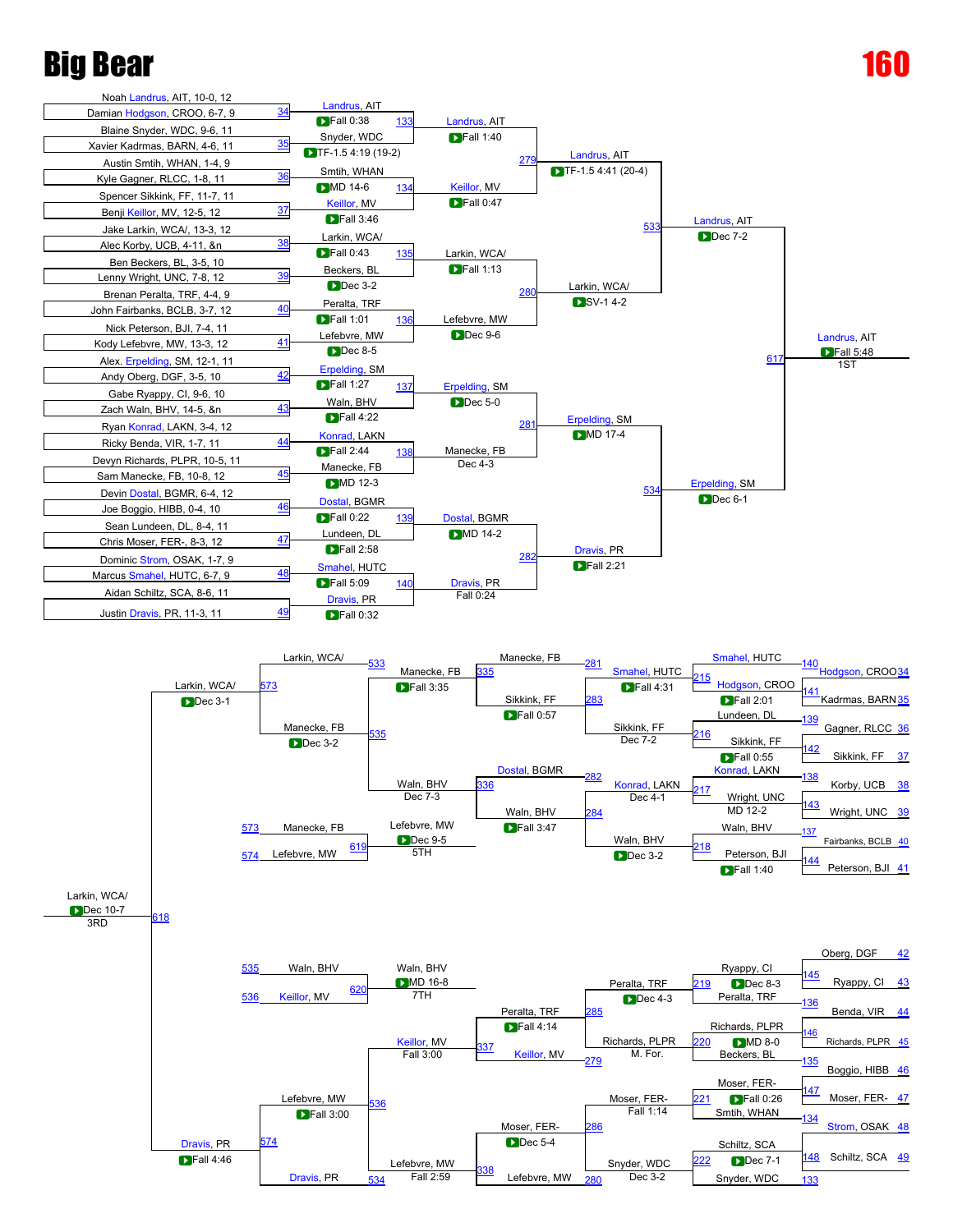





161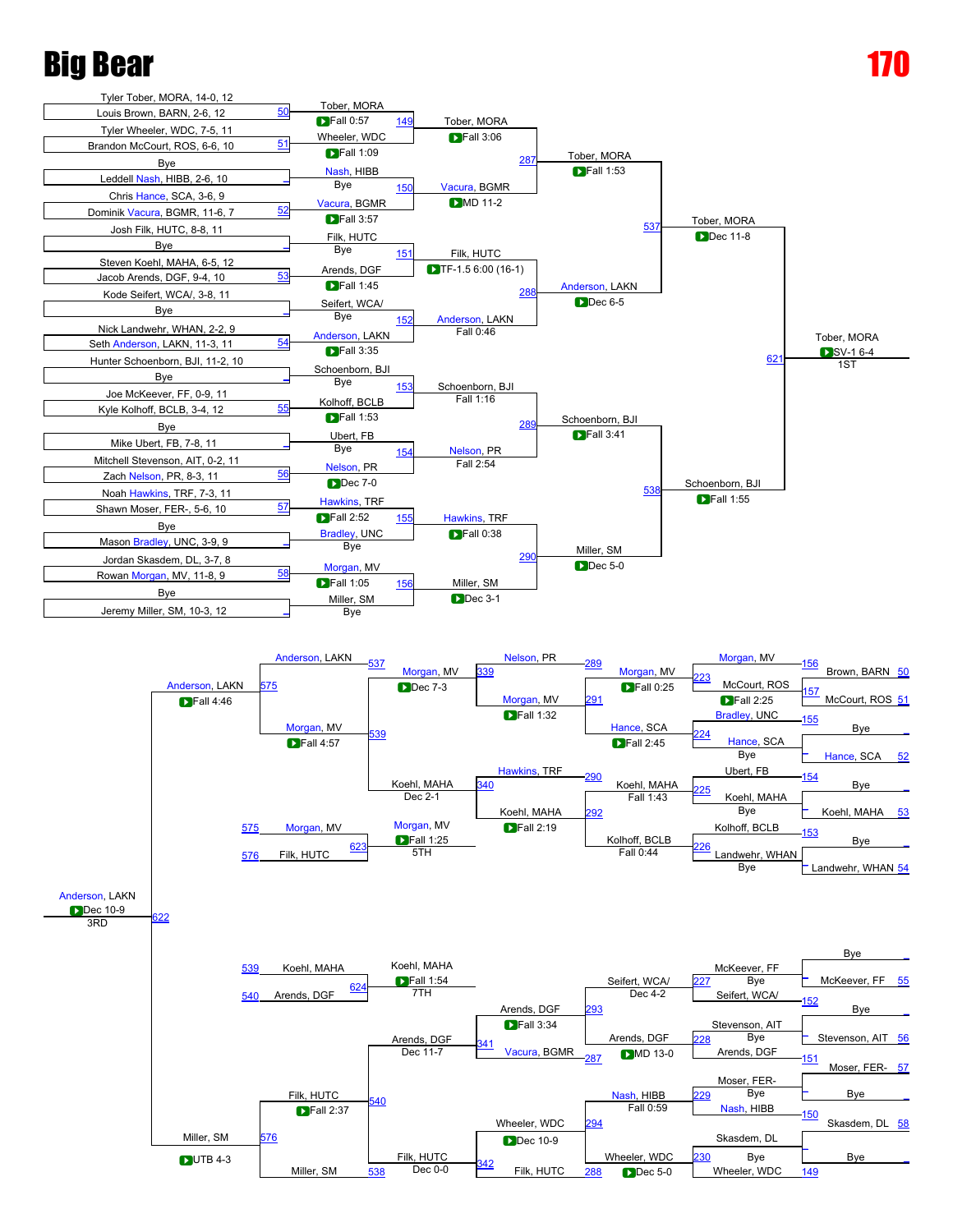



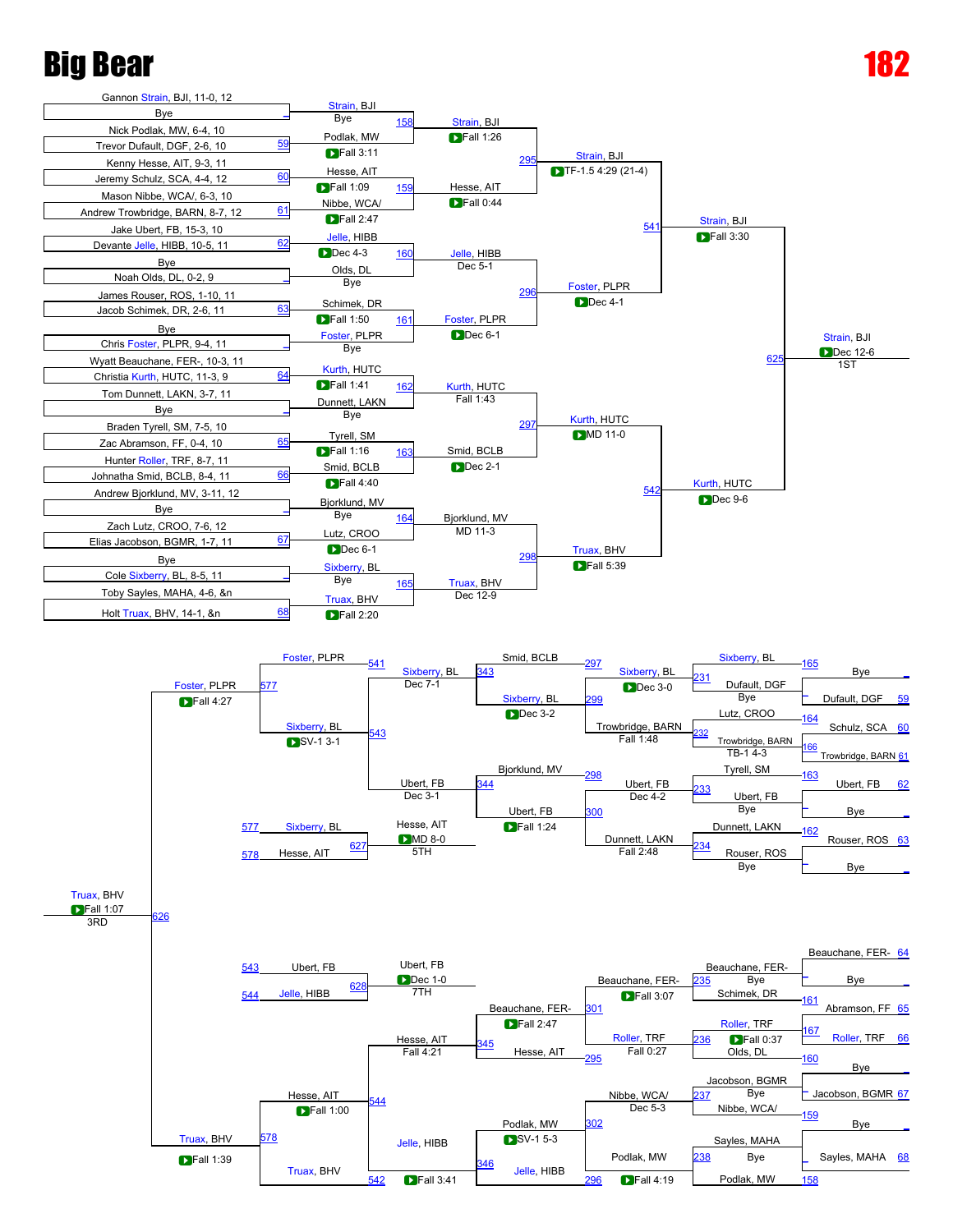



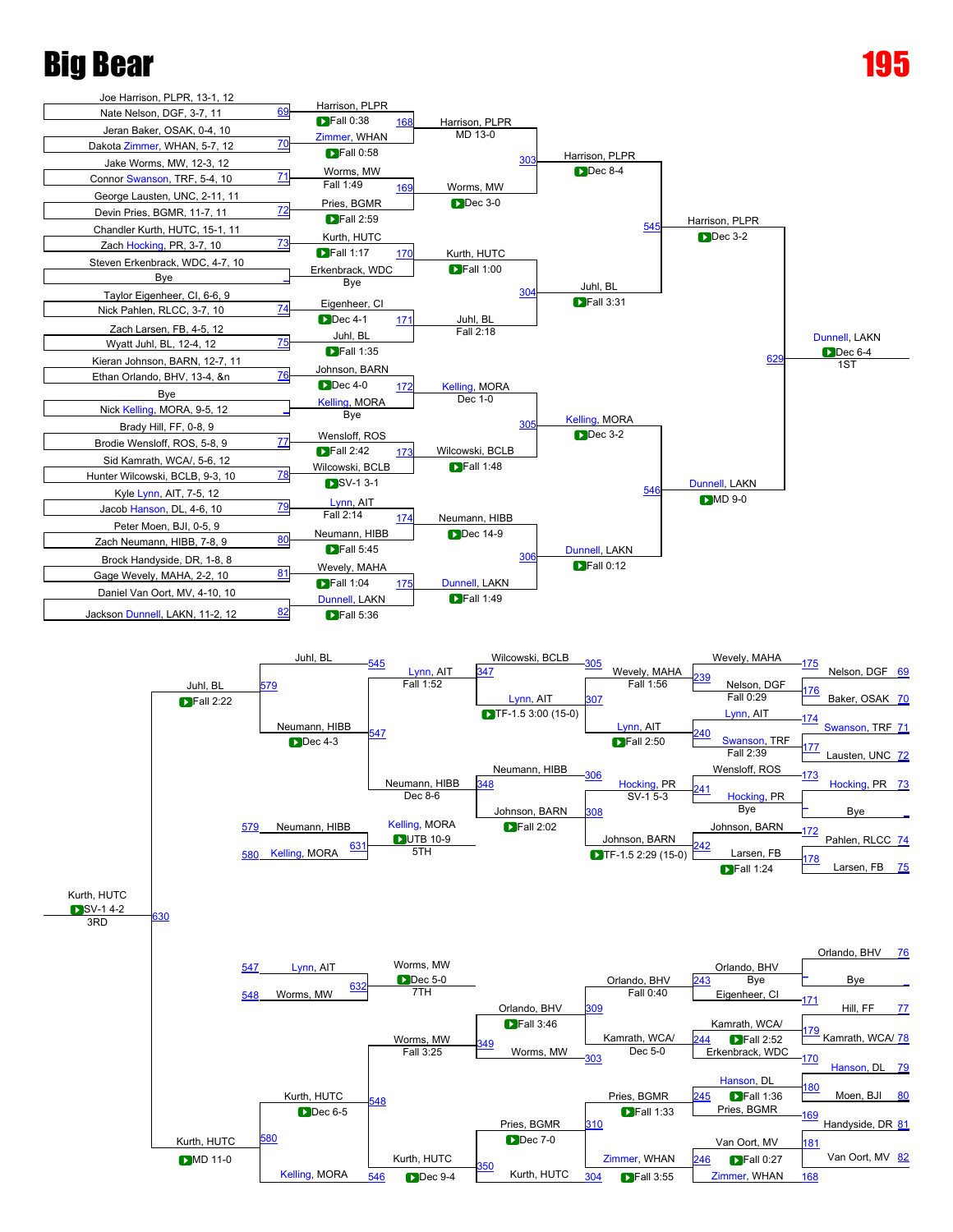



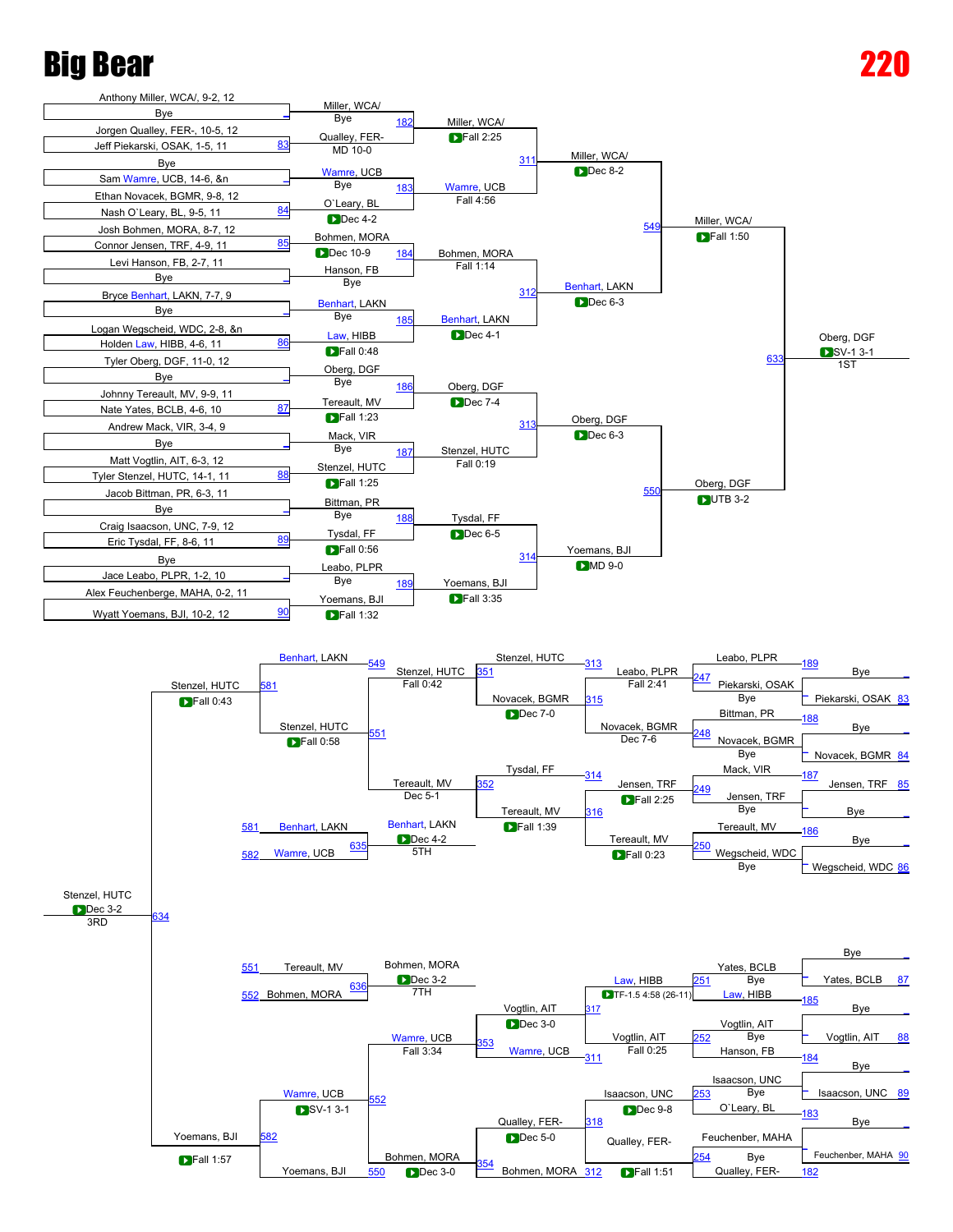